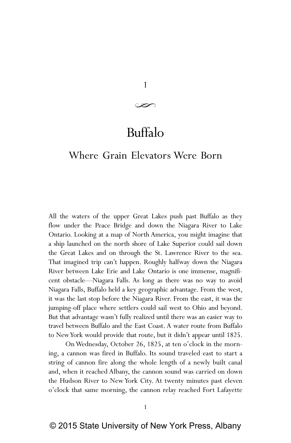#### 1

 $\infty$ 

# Buffalo

## Where Grain Elevators Were Born

All the waters of the upper Great Lakes push past Buffalo as they flow under the Peace Bridge and down the Niagara River to Lake Ontario. Looking at a map of North America, you might imagine that a ship launched on the north shore of Lake Superior could sail down the Great Lakes and on through the St. Lawrence River to the sea. That imagined trip can't happen. Roughly halfway down the Niagara River between Lake Erie and Lake Ontario is one immense, magnificent obstacle—Niagara Falls. As long as there was no way to avoid Niagara Falls, Buffalo held a key geographic advantage. From the west, it was the last stop before the Niagara River. From the east, it was the jumping-off place where settlers could sail west to Ohio and beyond. But that advantage wasn't fully realized until there was an easier way to travel between Buffalo and the East Coast. A water route from Buffalo to New York would provide that route, but it didn't appear until 1825.

On Wednesday, October 26, 1825, at ten o'clock in the morning, a cannon was fired in Buffalo. Its sound traveled east to start a string of cannon fire along the whole length of a newly built canal and, when it reached Albany, the cannon sound was carried on down the Hudson River to New York City. At twenty minutes past eleven o'clock that same morning, the cannon relay reached Fort Lafayette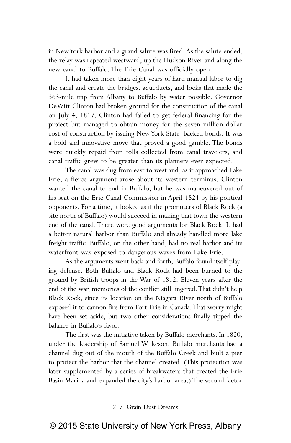in New York harbor and a grand salute was fired. As the salute ended, the relay was repeated westward, up the Hudson River and along the new canal to Buffalo. The Erie Canal was officially open.

It had taken more than eight years of hard manual labor to dig the canal and create the bridges, aqueducts, and locks that made the 363-mile trip from Albany to Buffalo by water possible. Governor DeWitt Clinton had broken ground for the construction of the canal on July 4, 1817. Clinton had failed to get federal financing for the project but managed to obtain money for the seven million dollar cost of construction by issuing New York State–backed bonds. It was a bold and innovative move that proved a good gamble. The bonds were quickly repaid from tolls collected from canal travelers, and canal traffic grew to be greater than its planners ever expected.

The canal was dug from east to west and, as it approached Lake Erie, a fierce argument arose about its western terminus. Clinton wanted the canal to end in Buffalo, but he was maneuvered out of his seat on the Erie Canal Commission in April 1824 by his political opponents. For a time, it looked as if the promoters of Black Rock (a site north of Buffalo) would succeed in making that town the western end of the canal. There were good arguments for Black Rock. It had a better natural harbor than Buffalo and already handled more lake freight traffic. Buffalo, on the other hand, had no real harbor and its waterfront was exposed to dangerous waves from Lake Erie.

As the arguments went back and forth, Buffalo found itself playing defense. Both Buffalo and Black Rock had been burned to the ground by British troops in the War of 1812. Eleven years after the end of the war, memories of the conflict still lingered. That didn't help Black Rock, since its location on the Niagara River north of Buffalo exposed it to cannon fire from Fort Erie in Canada. That worry might have been set aside, but two other considerations finally tipped the balance in Buffalo's favor.

The first was the initiative taken by Buffalo merchants. In 1820, under the leadership of Samuel Wilkeson, Buffalo merchants had a channel dug out of the mouth of the Buffalo Creek and built a pier to protect the harbor that the channel created. (This protection was later supplemented by a series of breakwaters that created the Erie Basin Marina and expanded the city's harbor area.) The second factor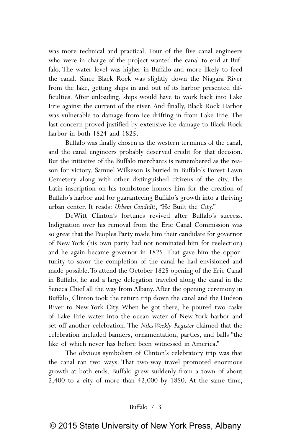was more technical and practical. Four of the five canal engineers who were in charge of the project wanted the canal to end at Buffalo. The water level was higher in Buffalo and more likely to feed the canal. Since Black Rock was slightly down the Niagara River from the lake, getting ships in and out of its harbor presented difficulties. After unloading, ships would have to work back into Lake Erie against the current of the river. And finally, Black Rock Harbor was vulnerable to damage from ice drifting in from Lake Erie. The last concern proved justified by extensive ice damage to Black Rock harbor in both 1824 and 1825.

Buffalo was finally chosen as the western terminus of the canal, and the canal engineers probably deserved credit for that decision. But the initiative of the Buffalo merchants is remembered as the reason for victory. Samuel Wilkeson is buried in Buffalo's Forest Lawn Cemetery along with other distinguished citizens of the city. The Latin inscription on his tombstone honors him for the creation of Buffalo's harbor and for guaranteeing Buffalo's growth into a thriving urban center. It reads: *Urbem Condidit*, "He Built the City."

DeWitt Clinton's fortunes revived after Buffalo's success. Indignation over his removal from the Erie Canal Commission was so great that the Peoples Party made him their candidate for governor of New York (his own party had not nominated him for reelection) and he again became governor in 1825. That gave him the opportunity to savor the completion of the canal he had envisioned and made possible. To attend the October 1825 opening of the Erie Canal in Buffalo, he and a large delegation traveled along the canal in the Seneca Chief all the way from Albany. After the opening ceremony in Buffalo, Clinton took the return trip down the canal and the Hudson River to New York City. When he got there, he poured two casks of Lake Erie water into the ocean water of New York harbor and set off another celebration. The *Niles Weekly Register* claimed that the celebration included banners, ornamentation, parties, and balls "the like of which never has before been witnessed in America."

The obvious symbolism of Clinton's celebratory trip was that the canal ran two ways. That two-way travel promoted enormous growth at both ends. Buffalo grew suddenly from a town of about 2,400 to a city of more than 42,000 by 1850. At the same time,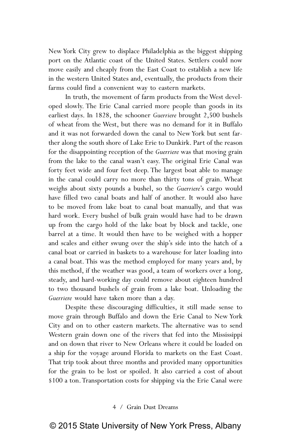New York City grew to displace Philadelphia as the biggest shipping port on the Atlantic coast of the United States. Settlers could now move easily and cheaply from the East Coast to establish a new life in the western United States and, eventually, the products from their farms could find a convenient way to eastern markets.

In truth, the movement of farm products from the West developed slowly. The Erie Canal carried more people than goods in its earliest days. In 1828, the schooner *Guerriere* brought 2,500 bushels of wheat from the West, but there was no demand for it in Buffalo and it was not forwarded down the canal to New York but sent farther along the south shore of Lake Erie to Dunkirk. Part of the reason for the disappointing reception of the *Guerriere* was that moving grain from the lake to the canal wasn't easy. The original Erie Canal was forty feet wide and four feet deep. The largest boat able to manage in the canal could carry no more than thirty tons of grain. Wheat weighs about sixty pounds a bushel, so the *Guerriere*'s cargo would have filled two canal boats and half of another. It would also have to be moved from lake boat to canal boat manually, and that was hard work. Every bushel of bulk grain would have had to be drawn up from the cargo hold of the lake boat by block and tackle, one barrel at a time. It would then have to be weighed with a hopper and scales and either swung over the ship's side into the hatch of a canal boat or carried in baskets to a warehouse for later loading into a canal boat. This was the method employed for many years and, by this method, if the weather was good, a team of workers over a long, steady, and hard-working day could remove about eighteen hundred to two thousand bushels of grain from a lake boat. Unloading the *Guerriere* would have taken more than a day.

Despite these discouraging difficulties, it still made sense to move grain through Buffalo and down the Erie Canal to New York City and on to other eastern markets. The alternative was to send Western grain down one of the rivers that fed into the Mississippi and on down that river to New Orleans where it could be loaded on a ship for the voyage around Florida to markets on the East Coast. That trip took about three months and provided many opportunities for the grain to be lost or spoiled. It also carried a cost of about \$100 a ton. Transportation costs for shipping via the Erie Canal were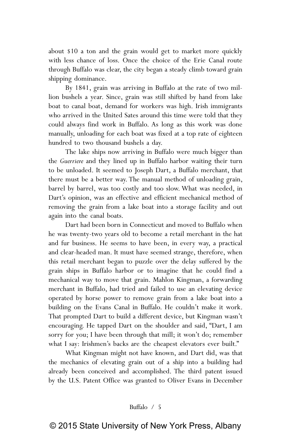about \$10 a ton and the grain would get to market more quickly with less chance of loss. Once the choice of the Erie Canal route through Buffalo was clear, the city began a steady climb toward grain shipping dominance.

By 1841, grain was arriving in Buffalo at the rate of two million bushels a year. Since, grain was still shifted by hand from lake boat to canal boat, demand for workers was high. Irish immigrants who arrived in the United Sates around this time were told that they could always find work in Buffalo. As long as this work was done manually, unloading for each boat was fixed at a top rate of eighteen hundred to two thousand bushels a day.

The lake ships now arriving in Buffalo were much bigger than the *Guerriere* and they lined up in Buffalo harbor waiting their turn to be unloaded. It seemed to Joseph Dart, a Buffalo merchant, that there must be a better way. The manual method of unloading grain, barrel by barrel, was too costly and too slow. What was needed, in Dart's opinion, was an effective and efficient mechanical method of removing the grain from a lake boat into a storage facility and out again into the canal boats.

Dart had been born in Connecticut and moved to Buffalo when he was twenty-two years old to become a retail merchant in the hat and fur business. He seems to have been, in every way, a practical and clear-headed man. It must have seemed strange, therefore, when this retail merchant began to puzzle over the delay suffered by the grain ships in Buffalo harbor or to imagine that he could find a mechanical way to move that grain. Mahlon Kingman, a forwarding merchant in Buffalo, had tried and failed to use an elevating device operated by horse power to remove grain from a lake boat into a building on the Evans Canal in Buffalo. He couldn't make it work. That prompted Dart to build a different device, but Kingman wasn't encouraging. He tapped Dart on the shoulder and said, "Dart, I am sorry for you; I have been through that mill; it won't do; remember what I say: Irishmen's backs are the cheapest elevators ever built."

What Kingman might not have known, and Dart did, was that the mechanics of elevating grain out of a ship into a building had already been conceived and accomplished. The third patent issued by the U.S. Patent Office was granted to Oliver Evans in December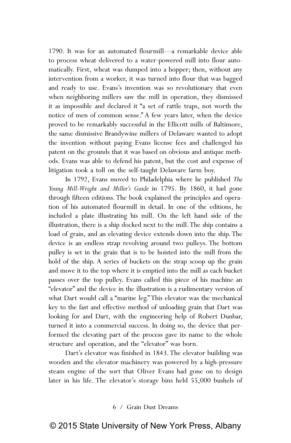1790. It was for an automated flourmill—a remarkable device able to process wheat delivered to a water-powered mill into flour automatically. First, wheat was dumped into a hopper; then, without any intervention from a worker, it was turned into flour that was bagged and ready to use. Evans's invention was so revolutionary that even when neighboring millers saw the mill in operation, they dismissed it as impossible and declared it "a set of rattle traps, not worth the notice of men of common sense." A few years later, when the device proved to be remarkably successful in the Ellicott mills of Baltimore, the same dismissive Brandywine millers of Delaware wanted to adopt the invention without paying Evans license fees and challenged his patent on the grounds that it was based on obvious and antique methods. Evans was able to defend his patent, but the cost and expense of litigation took a toll on the self-taught Delaware farm boy.

In 1792, Evans moved to Philadelphia where he published *The Young Mill-Wright and Miller's Guide* in 1795. By 1860, it had gone through fifteen editions. The book explained the principles and operation of his automated flourmill in detail. In one of the editions, he included a plate illustrating his mill. On the left hand side of the illustration, there is a ship docked next to the mill. The ship contains a load of grain, and an elevating device extends down into the ship. The device is an endless strap revolving around two pulleys. The bottom pulley is set in the grain that is to be hoisted into the mill from the hold of the ship. A series of buckets on the strap scoop up the grain and move it to the top where it is emptied into the mill as each bucket passes over the top pulley. Evans called this piece of his machine an "elevator" and the device in the illustration is a rudimentary version of what Dart would call a "marine leg." This elevator was the mechanical key to the fast and effective method of unloading grain that Dart was looking for and Dart, with the engineering help of Robert Dunbar, turned it into a commercial success. In doing so, the device that performed the elevating part of the process gave its name to the whole structure and operation, and the "elevator" was born.

Dart's elevator was finished in 1843. The elevator building was wooden and the elevator machinery was powered by a high-pressure steam engine of the sort that Oliver Evans had gone on to design later in his life. The elevator's storage bins held 55,000 bushels of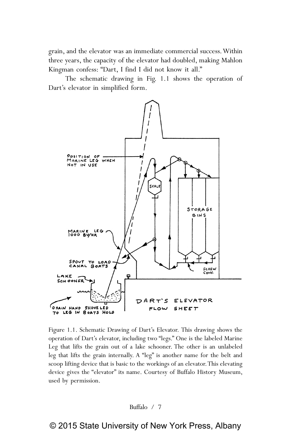grain, and the elevator was an immediate commercial success. Within three years, the capacity of the elevator had doubled, making Mahlon Kingman confess: "Dart, I find I did not know it all."

The schematic drawing in Fig. 1.1 shows the operation of Dart's elevator in simplified form.



Figure 1.1. Schematic Drawing of Dart's Elevator. This drawing shows the operation of Dart's elevator, including two "legs." One is the labeled Marine Leg that lifts the grain out of a lake schooner. The other is an unlabeled leg that lifts the grain internally. A "leg" is another name for the belt and scoop lifting device that is basic to the workings of an elevator. This elevating device gives the "elevator" its name. Courtesy of Buffalo History Museum, used by permission.

Buffalo / 7

#### © 2015 State University of New York Press, Albany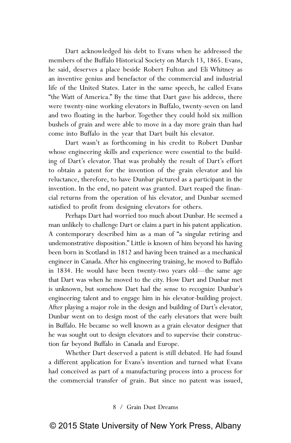Dart acknowledged his debt to Evans when he addressed the members of the Buffalo Historical Society on March 13, 1865. Evans, he said, deserves a place beside Robert Fulton and Eli Whitney as an inventive genius and benefactor of the commercial and industrial life of the United States. Later in the same speech, he called Evans "the Watt of America." By the time that Dart gave his address, there were twenty-nine working elevators in Buffalo, twenty-seven on land and two floating in the harbor. Together they could hold six million bushels of grain and were able to move in a day more grain than had come into Buffalo in the year that Dart built his elevator.

Dart wasn't as forthcoming in his credit to Robert Dunbar whose engineering skills and experience were essential to the building of Dart's elevator. That was probably the result of Dart's effort to obtain a patent for the invention of the grain elevator and his reluctance, therefore, to have Dunbar pictured as a participant in the invention. In the end, no patent was granted. Dart reaped the financial returns from the operation of his elevator, and Dunbar seemed satisfied to profit from designing elevators for others.

Perhaps Dart had worried too much about Dunbar. He seemed a man unlikely to challenge Dart or claim a part in his patent application. A contemporary described him as a man of "a singular retiring and undemonstrative disposition." Little is known of him beyond his having been born in Scotland in 1812 and having been trained as a mechanical engineer in Canada. After his engineering training, he moved to Buffalo in 1834. He would have been twenty-two years old—the same age that Dart was when he moved to the city. How Dart and Dunbar met is unknown, but somehow Dart had the sense to recognize Dunbar's engineering talent and to engage him in his elevator-building project. After playing a major role in the design and building of Dart's elevator, Dunbar went on to design most of the early elevators that were built in Buffalo. He became so well known as a grain elevator designer that he was sought out to design elevators and to supervise their construction far beyond Buffalo in Canada and Europe.

Whether Dart deserved a patent is still debated. He had found a different application for Evans's invention and turned what Evans had conceived as part of a manufacturing process into a process for the commercial transfer of grain. But since no patent was issued,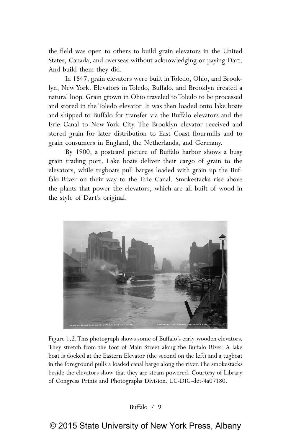the field was open to others to build grain elevators in the United States, Canada, and overseas without acknowledging or paying Dart. And build them they did.

In 1847, grain elevators were built in Toledo, Ohio, and Brooklyn, New York. Elevators in Toledo, Buffalo, and Brooklyn created a natural loop. Grain grown in Ohio traveled to Toledo to be processed and stored in the Toledo elevator. It was then loaded onto lake boats and shipped to Buffalo for transfer via the Buffalo elevators and the Erie Canal to New York City. The Brooklyn elevator received and stored grain for later distribution to East Coast flourmills and to grain consumers in England, the Netherlands, and Germany.

By 1900, a postcard picture of Buffalo harbor shows a busy grain trading port. Lake boats deliver their cargo of grain to the elevators, while tugboats pull barges loaded with grain up the Buffalo River on their way to the Erie Canal. Smokestacks rise above the plants that power the elevators, which are all built of wood in the style of Dart's original.



Figure 1.2. This photograph shows some of Buffalo's early wooden elevators. They stretch from the foot of Main Street along the Buffalo River. A lake boat is docked at the Eastern Elevator (the second on the left) and a tugboat in the foreground pulls a loaded canal barge along the river. The smokestacks beside the elevators show that they are steam powered. Courtesy of Library of Congress Prints and Photographs Division. LC-DIG-det-4a07180.

Buffalo / 9

### © 2015 State University of New York Press, Albany